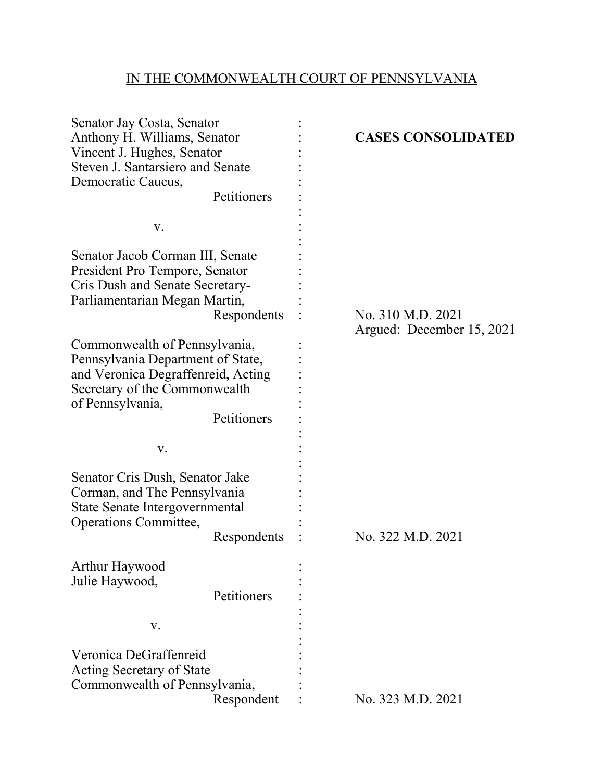## IN THE COMMONWEALTH COURT OF PENNSYLVANIA

| Senator Jay Costa, Senator<br>Anthony H. Williams, Senator<br>Vincent J. Hughes, Senator<br>Steven J. Santarsiero and Senate<br>Democratic Caucus,                                                                                                                                                                                    | Petitioners |  | <b>CASES CONSOLIDATED</b>                      |
|---------------------------------------------------------------------------------------------------------------------------------------------------------------------------------------------------------------------------------------------------------------------------------------------------------------------------------------|-------------|--|------------------------------------------------|
| V.                                                                                                                                                                                                                                                                                                                                    |             |  |                                                |
| Senator Jacob Corman III, Senate<br>President Pro Tempore, Senator<br>Cris Dush and Senate Secretary-<br>Parliamentarian Megan Martin,<br>Respondents<br>Commonwealth of Pennsylvania,<br>Pennsylvania Department of State,<br>and Veronica Degraffenreid, Acting<br>Secretary of the Commonwealth<br>of Pennsylvania,<br>Petitioners |             |  | No. 310 M.D. 2021<br>Argued: December 15, 2021 |
|                                                                                                                                                                                                                                                                                                                                       |             |  |                                                |
| V.                                                                                                                                                                                                                                                                                                                                    |             |  |                                                |
| Senator Cris Dush, Senator Jake<br>Corman, and The Pennsylvania<br>State Senate Intergovernmental<br>Operations Committee,<br>Respondents                                                                                                                                                                                             |             |  | No. 322 M.D. 2021                              |
| Arthur Haywood<br>Julie Haywood,                                                                                                                                                                                                                                                                                                      | Petitioners |  |                                                |
| V.                                                                                                                                                                                                                                                                                                                                    |             |  |                                                |
| Veronica DeGraffenreid<br>Acting Secretary of State<br>Commonwealth of Pennsylvania,<br>Respondent                                                                                                                                                                                                                                    |             |  | No. 323 M.D. 2021                              |
|                                                                                                                                                                                                                                                                                                                                       |             |  |                                                |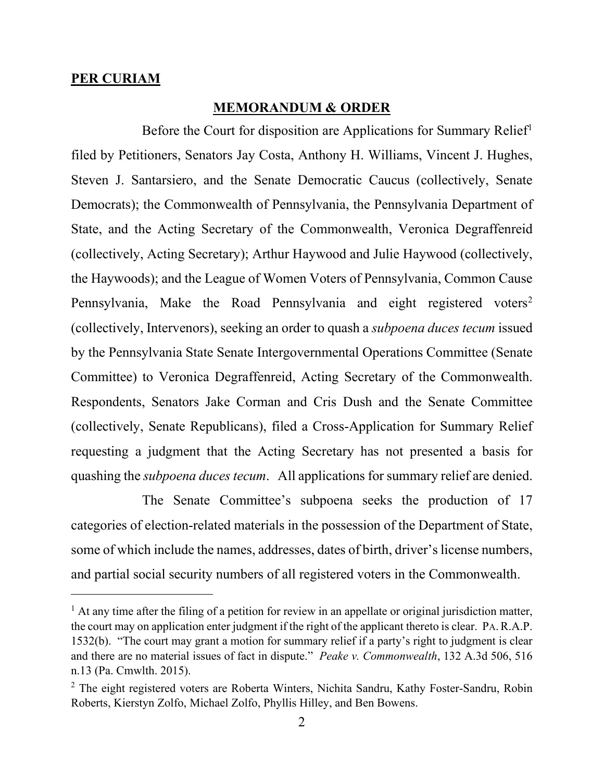## **PER CURIAM**

## **MEMORANDUM & ORDER**

Before the Court for disposition are Applications for Summary Relief<sup>1</sup> filed by Petitioners, Senators Jay Costa, Anthony H. Williams, Vincent J. Hughes, Steven J. Santarsiero, and the Senate Democratic Caucus (collectively, Senate Democrats); the Commonwealth of Pennsylvania, the Pennsylvania Department of State, and the Acting Secretary of the Commonwealth, Veronica Degraffenreid (collectively, Acting Secretary); Arthur Haywood and Julie Haywood (collectively, the Haywoods); and the League of Women Voters of Pennsylvania, Common Cause Pennsylvania, Make the Road Pennsylvania and eight registered voters<sup>2</sup> (collectively, Intervenors), seeking an order to quash a *subpoena duces tecum* issued by the Pennsylvania State Senate Intergovernmental Operations Committee (Senate Committee) to Veronica Degraffenreid, Acting Secretary of the Commonwealth. Respondents, Senators Jake Corman and Cris Dush and the Senate Committee (collectively, Senate Republicans), filed a Cross-Application for Summary Relief requesting a judgment that the Acting Secretary has not presented a basis for quashing the *subpoena duces tecum*. All applications for summary relief are denied.

The Senate Committee's subpoena seeks the production of 17 categories of election-related materials in the possession of the Department of State, some of which include the names, addresses, dates of birth, driver's license numbers, and partial social security numbers of all registered voters in the Commonwealth.

<span id="page-1-0"></span> $<sup>1</sup>$  At any time after the filing of a petition for review in an appellate or original jurisdiction matter,</sup> the court may on application enter judgment if the right of the applicant thereto is clear. PA.R.A.P. 1532(b). "The court may grant a motion for summary relief if a party's right to judgment is clear and there are no material issues of fact in dispute." *Peake v. Commonwealth*, 132 A.3d 506, 516 n.13 (Pa. Cmwlth. 2015).

<span id="page-1-1"></span> $2$  The eight registered voters are Roberta Winters, Nichita Sandru, Kathy Foster-Sandru, Robin Roberts, Kierstyn Zolfo, Michael Zolfo, Phyllis Hilley, and Ben Bowens.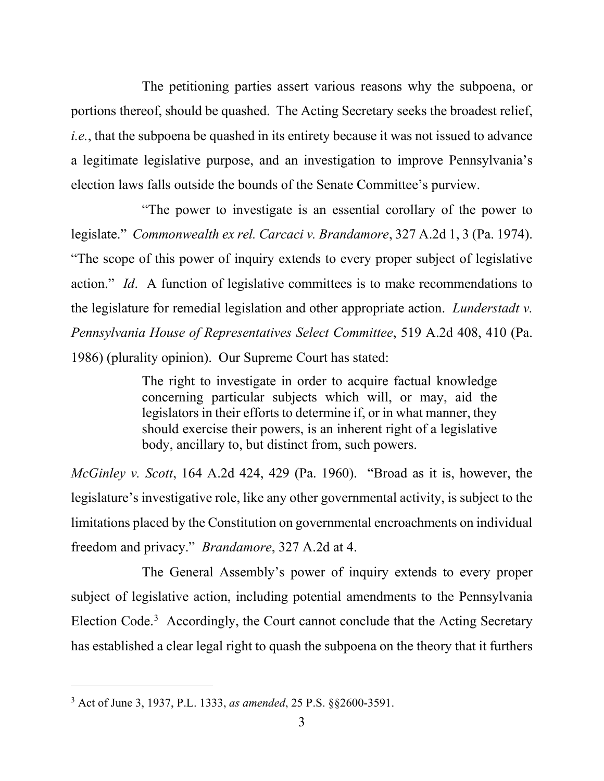The petitioning parties assert various reasons why the subpoena, or portions thereof, should be quashed. The Acting Secretary seeks the broadest relief, *i.e.*, that the subpoena be quashed in its entirety because it was not issued to advance a legitimate legislative purpose, and an investigation to improve Pennsylvania's election laws falls outside the bounds of the Senate Committee's purview.

"The power to investigate is an essential corollary of the power to legislate." *Commonwealth ex rel. Carcaci v. Brandamore*, 327 A.2d 1, 3 (Pa. 1974). "The scope of this power of inquiry extends to every proper subject of legislative action." *Id*. A function of legislative committees is to make recommendations to the legislature for remedial legislation and other appropriate action. *Lunderstadt v. Pennsylvania House of Representatives Select Committee*, 519 A.2d 408, 410 (Pa. 1986) (plurality opinion). Our Supreme Court has stated:

> The right to investigate in order to acquire factual knowledge concerning particular subjects which will, or may, aid the legislators in their efforts to determine if, or in what manner, they should exercise their powers, is an inherent right of a legislative body, ancillary to, but distinct from, such powers.

*McGinley v. Scott*, 164 A.2d 424, 429 (Pa. 1960). "Broad as it is, however, the legislature's investigative role, like any other governmental activity, is subject to the limitations placed by the Constitution on governmental encroachments on individual freedom and privacy." *Brandamore*, 327 A.2d at 4.

The General Assembly's power of inquiry extends to every proper subject of legislative action, including potential amendments to the Pennsylvania Election Code.<sup>[3](#page-2-0)</sup> Accordingly, the Court cannot conclude that the Acting Secretary has established a clear legal right to quash the subpoena on the theory that it furthers

<span id="page-2-0"></span><sup>3</sup> Act of June 3, 1937, P.L. 1333, *as amended*, 25 P.S. §§2600-3591.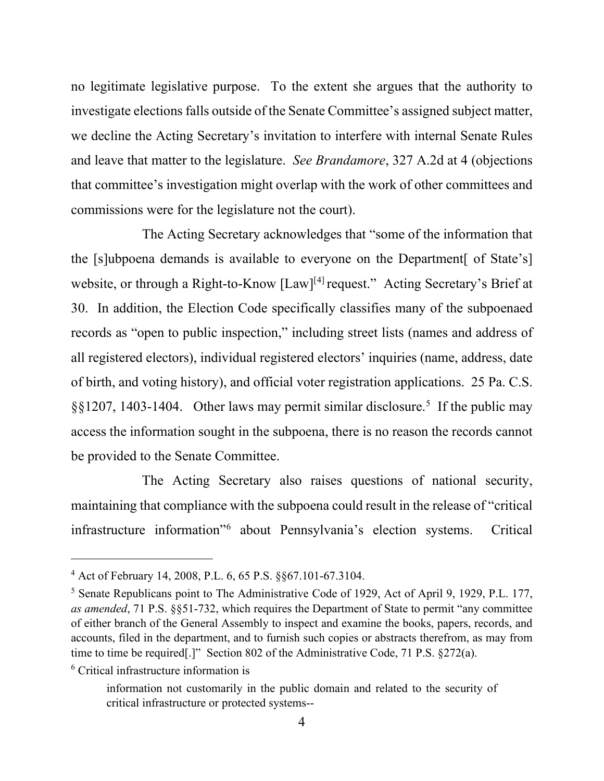no legitimate legislative purpose. To the extent she argues that the authority to investigate elections falls outside of the Senate Committee's assigned subject matter, we decline the Acting Secretary's invitation to interfere with internal Senate Rules and leave that matter to the legislature. *See Brandamore*, 327 A.2d at 4 (objections that committee's investigation might overlap with the work of other committees and commissions were for the legislature not the court).

The Acting Secretary acknowledges that "some of the information that the [s]ubpoena demands is available to everyone on the Department[ of State's] website, or through a Right-to-Know [Law]<sup>[[4](#page-3-0)]</sup> request." Acting Secretary's Brief at 30. In addition, the Election Code specifically classifies many of the subpoenaed records as "open to public inspection," including street lists (names and address of all registered electors), individual registered electors' inquiries (name, address, date of birth, and voting history), and official voter registration applications. 25 Pa. C.S. §§1207, 1403-1404. Other laws may permit similar disclosure.<sup>[5](#page-3-1)</sup> If the public may access the information sought in the subpoena, there is no reason the records cannot be provided to the Senate Committee.

The Acting Secretary also raises questions of national security, maintaining that compliance with the subpoena could result in the release of "critical infrastructure information"[6](#page-3-2) about Pennsylvania's election systems. Critical

<span id="page-3-0"></span><sup>4</sup> Act of February 14, 2008, P.L. 6, 65 P.S. §§67.101-67.3104.

<span id="page-3-1"></span><sup>5</sup> Senate Republicans point to The Administrative Code of 1929, Act of April 9, 1929, P.L. 177, *as amended*, 71 P.S. §§51-732, which requires the Department of State to permit "any committee of either branch of the General Assembly to inspect and examine the books, papers, records, and accounts, filed in the department, and to furnish such copies or abstracts therefrom, as may from time to time be required[.]" Section 802 of the Administrative Code, 71 P.S. §272(a).

<span id="page-3-2"></span><sup>6</sup> Critical infrastructure information is

information not customarily in the public domain and related to the security of critical infrastructure or protected systems--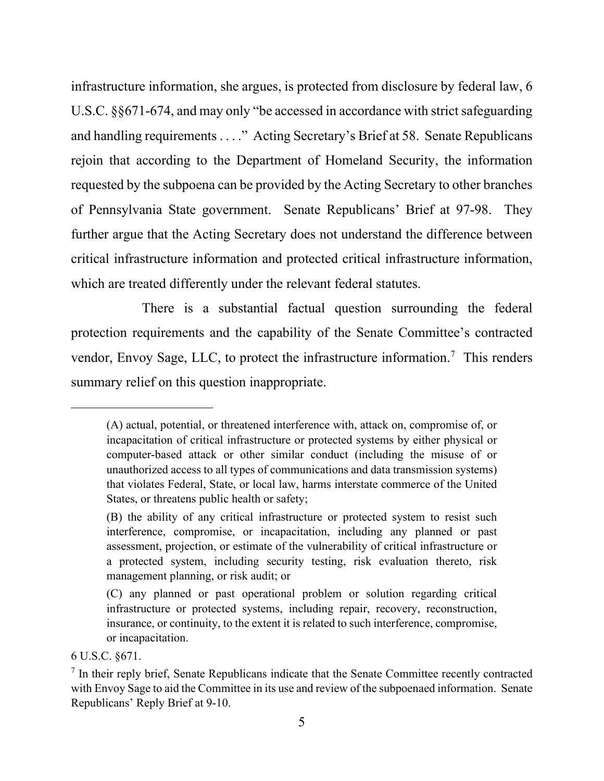infrastructure information, she argues, is protected from disclosure by federal law, 6 U.S.C. §§671-674, and may only "be accessed in accordance with strict safeguarding and handling requirements . . . ." Acting Secretary's Brief at 58. Senate Republicans rejoin that according to the Department of Homeland Security, the information requested by the subpoena can be provided by the Acting Secretary to other branches of Pennsylvania State government. Senate Republicans' Brief at 97-98. They further argue that the Acting Secretary does not understand the difference between critical infrastructure information and protected critical infrastructure information, which are treated differently under the relevant federal statutes.

There is a substantial factual question surrounding the federal protection requirements and the capability of the Senate Committee's contracted vendor, Envoy Sage, LLC, to protect the infrastructure information.<sup>[7](#page-4-0)</sup> This renders summary relief on this question inappropriate.

<sup>(</sup>A) actual, potential, or threatened interference with, attack on, compromise of, or incapacitation of critical infrastructure or protected systems by either physical or computer-based attack or other similar conduct (including the misuse of or unauthorized access to all types of communications and data transmission systems) that violates Federal, State, or local law, harms interstate commerce of the United States, or threatens public health or safety;

<sup>(</sup>B) the ability of any critical infrastructure or protected system to resist such interference, compromise, or incapacitation, including any planned or past assessment, projection, or estimate of the vulnerability of critical infrastructure or a protected system, including security testing, risk evaluation thereto, risk management planning, or risk audit; or

<sup>(</sup>C) any planned or past operational problem or solution regarding critical infrastructure or protected systems, including repair, recovery, reconstruction, insurance, or continuity, to the extent it is related to such interference, compromise, or incapacitation.

<sup>6</sup> U.S.C. §671.

<span id="page-4-0"></span> $<sup>7</sup>$  In their reply brief, Senate Republicans indicate that the Senate Committee recently contracted</sup> with Envoy Sage to aid the Committee in its use and review of the subpoenaed information. Senate Republicans' Reply Brief at 9-10.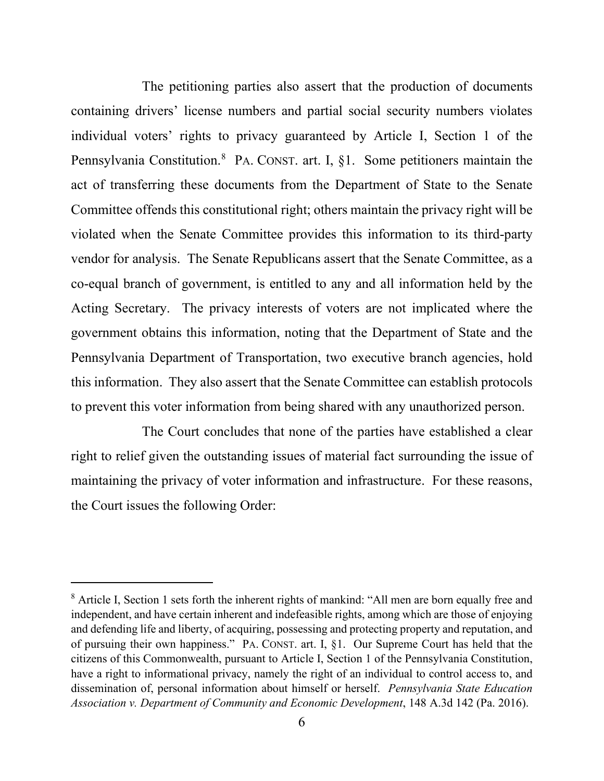The petitioning parties also assert that the production of documents containing drivers' license numbers and partial social security numbers violates individual voters' rights to privacy guaranteed by Article I, Section 1 of the Pennsylvania Constitution.<sup>[8](#page-5-0)</sup> PA. CONST. art. I, §1. Some petitioners maintain the act of transferring these documents from the Department of State to the Senate Committee offends this constitutional right; others maintain the privacy right will be violated when the Senate Committee provides this information to its third-party vendor for analysis. The Senate Republicans assert that the Senate Committee, as a co-equal branch of government, is entitled to any and all information held by the Acting Secretary. The privacy interests of voters are not implicated where the government obtains this information, noting that the Department of State and the Pennsylvania Department of Transportation, two executive branch agencies, hold this information. They also assert that the Senate Committee can establish protocols to prevent this voter information from being shared with any unauthorized person.

The Court concludes that none of the parties have established a clear right to relief given the outstanding issues of material fact surrounding the issue of maintaining the privacy of voter information and infrastructure. For these reasons, the Court issues the following Order:

<span id="page-5-0"></span><sup>&</sup>lt;sup>8</sup> Article I, Section 1 sets forth the inherent rights of mankind: "All men are born equally free and independent, and have certain inherent and indefeasible rights, among which are those of enjoying and defending life and liberty, of acquiring, possessing and protecting property and reputation, and of pursuing their own happiness." PA. CONST. art. I, §1. Our Supreme Court has held that the citizens of this Commonwealth, pursuant to Article I, Section 1 of the Pennsylvania Constitution, have a right to informational privacy, namely the right of an individual to control access to, and dissemination of, personal information about himself or herself. *Pennsylvania State Education Association v. Department of Community and Economic Development*, 148 A.3d 142 (Pa. 2016).